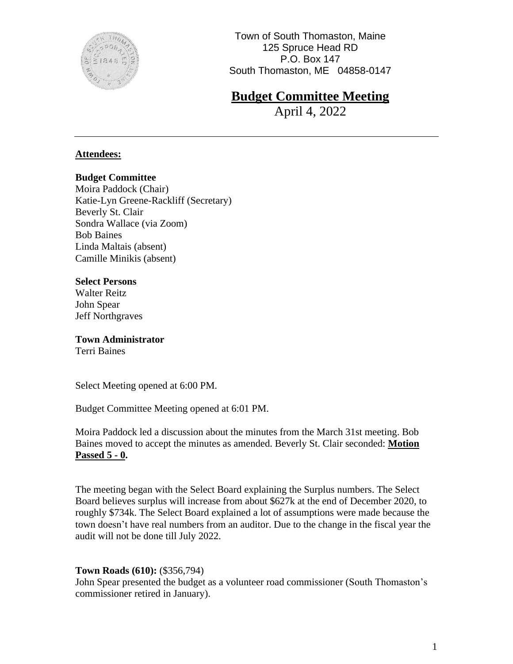

## **Budget Committee Meeting**

April 4, 2022

### **Attendees:**

### **Budget Committee**

Moira Paddock (Chair) Katie-Lyn Greene-Rackliff (Secretary) Beverly St. Clair Sondra Wallace (via Zoom) Bob Baines Linda Maltais (absent) Camille Minikis (absent)

### **Select Persons**

Walter Reitz John Spear Jeff Northgraves

### **Town Administrator**

Terri Baines

Select Meeting opened at 6:00 PM.

Budget Committee Meeting opened at 6:01 PM.

Moira Paddock led a discussion about the minutes from the March 31st meeting. Bob Baines moved to accept the minutes as amended. Beverly St. Clair seconded: **Motion Passed 5 - 0.** 

The meeting began with the Select Board explaining the Surplus numbers. The Select Board believes surplus will increase from about \$627k at the end of December 2020, to roughly \$734k. The Select Board explained a lot of assumptions were made because the town doesn't have real numbers from an auditor. Due to the change in the fiscal year the audit will not be done till July 2022.

### **Town Roads (610):** (\$356,794)

John Spear presented the budget as a volunteer road commissioner (South Thomaston's commissioner retired in January).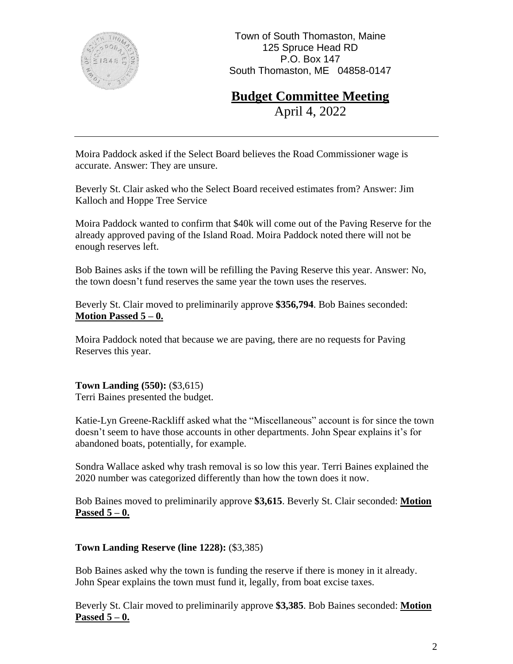

**Budget Committee Meeting**

April 4, 2022

Moira Paddock asked if the Select Board believes the Road Commissioner wage is accurate. Answer: They are unsure.

Beverly St. Clair asked who the Select Board received estimates from? Answer: Jim Kalloch and Hoppe Tree Service

Moira Paddock wanted to confirm that \$40k will come out of the Paving Reserve for the already approved paving of the Island Road. Moira Paddock noted there will not be enough reserves left.

Bob Baines asks if the town will be refilling the Paving Reserve this year. Answer: No, the town doesn't fund reserves the same year the town uses the reserves.

Beverly St. Clair moved to preliminarily approve **\$356,794**. Bob Baines seconded: **Motion Passed 5 – 0.**

Moira Paddock noted that because we are paving, there are no requests for Paving Reserves this year.

### **Town Landing (550):** (\$3,615)

Terri Baines presented the budget.

Katie-Lyn Greene-Rackliff asked what the "Miscellaneous" account is for since the town doesn't seem to have those accounts in other departments. John Spear explains it's for abandoned boats, potentially, for example.

Sondra Wallace asked why trash removal is so low this year. Terri Baines explained the 2020 number was categorized differently than how the town does it now.

Bob Baines moved to preliminarily approve **\$3,615**. Beverly St. Clair seconded: **Motion**  Passed  $5 - 0$ .

### **Town Landing Reserve (line 1228):** (\$3,385)

Bob Baines asked why the town is funding the reserve if there is money in it already. John Spear explains the town must fund it, legally, from boat excise taxes.

Beverly St. Clair moved to preliminarily approve **\$3,385**. Bob Baines seconded: **Motion Passed 5 – 0.**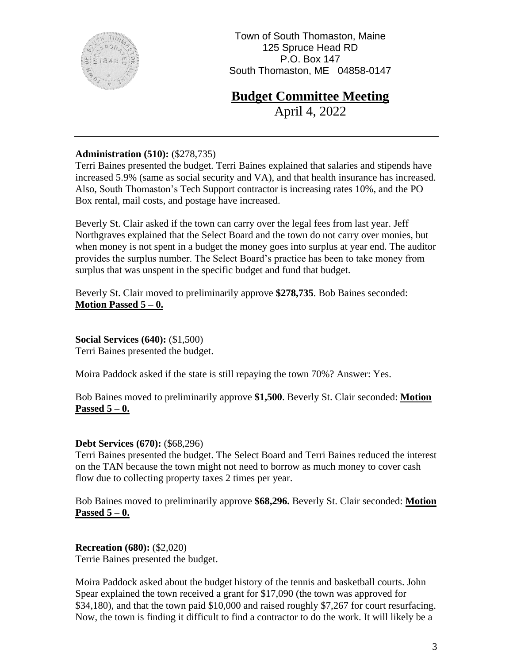

## **Budget Committee Meeting**

April 4, 2022

### **Administration (510):** (\$278,735)

Terri Baines presented the budget. Terri Baines explained that salaries and stipends have increased 5.9% (same as social security and VA), and that health insurance has increased. Also, South Thomaston's Tech Support contractor is increasing rates 10%, and the PO Box rental, mail costs, and postage have increased.

Beverly St. Clair asked if the town can carry over the legal fees from last year. Jeff Northgraves explained that the Select Board and the town do not carry over monies, but when money is not spent in a budget the money goes into surplus at year end. The auditor provides the surplus number. The Select Board's practice has been to take money from surplus that was unspent in the specific budget and fund that budget.

Beverly St. Clair moved to preliminarily approve **\$278,735**. Bob Baines seconded: **Motion Passed 5 – 0.**

**Social Services (640):** (\$1,500) Terri Baines presented the budget.

Moira Paddock asked if the state is still repaying the town 70%? Answer: Yes.

Bob Baines moved to preliminarily approve **\$1,500**. Beverly St. Clair seconded: **Motion Passed 5 – 0.**

### **Debt Services (670):** (\$68,296)

Terri Baines presented the budget. The Select Board and Terri Baines reduced the interest on the TAN because the town might not need to borrow as much money to cover cash flow due to collecting property taxes 2 times per year.

Bob Baines moved to preliminarily approve **\$68,296.** Beverly St. Clair seconded: **Motion**  Passed  $5 - 0$ .

**Recreation (680):** (\$2,020) Terrie Baines presented the budget.

Moira Paddock asked about the budget history of the tennis and basketball courts. John Spear explained the town received a grant for \$17,090 (the town was approved for \$34,180), and that the town paid \$10,000 and raised roughly \$7,267 for court resurfacing. Now, the town is finding it difficult to find a contractor to do the work. It will likely be a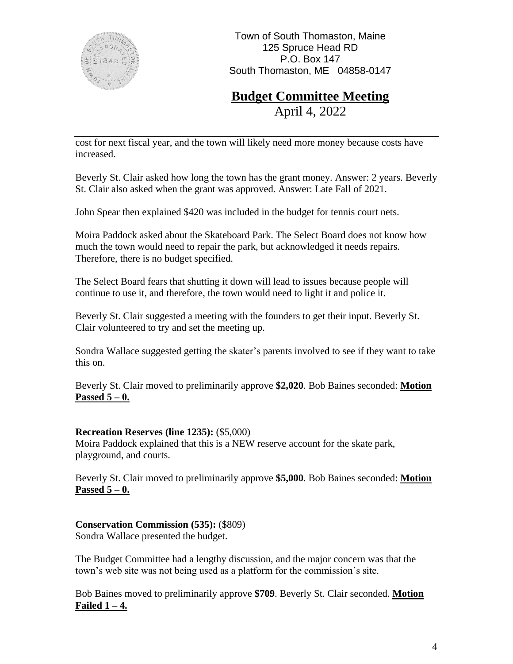

# **Budget Committee Meeting**

April 4, 2022

cost for next fiscal year, and the town will likely need more money because costs have increased.

Beverly St. Clair asked how long the town has the grant money. Answer: 2 years. Beverly St. Clair also asked when the grant was approved. Answer: Late Fall of 2021.

John Spear then explained \$420 was included in the budget for tennis court nets.

Moira Paddock asked about the Skateboard Park. The Select Board does not know how much the town would need to repair the park, but acknowledged it needs repairs. Therefore, there is no budget specified.

The Select Board fears that shutting it down will lead to issues because people will continue to use it, and therefore, the town would need to light it and police it.

Beverly St. Clair suggested a meeting with the founders to get their input. Beverly St. Clair volunteered to try and set the meeting up.

Sondra Wallace suggested getting the skater's parents involved to see if they want to take this on.

Beverly St. Clair moved to preliminarily approve **\$2,020**. Bob Baines seconded: **Motion Passed 5 – 0.**

### **Recreation Reserves (line 1235):** (\$5,000)

Moira Paddock explained that this is a NEW reserve account for the skate park, playground, and courts.

Beverly St. Clair moved to preliminarily approve **\$5,000**. Bob Baines seconded: **Motion Passed 5 – 0.**

### **Conservation Commission (535):** (\$809)

Sondra Wallace presented the budget.

The Budget Committee had a lengthy discussion, and the major concern was that the town's web site was not being used as a platform for the commission's site.

Bob Baines moved to preliminarily approve **\$709**. Beverly St. Clair seconded. **Motion Failed 1 – 4.**